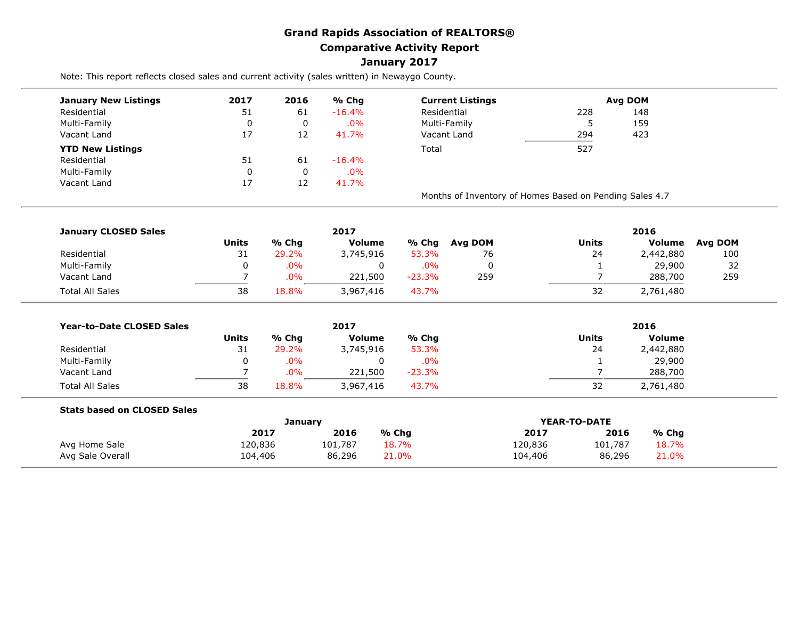## **Grand Rapids Association of REALTORS® Comparative Activity Report January 2017**

Note: This report reflects closed sales and current activity (sales written) in Newaygo County.

| <b>January New Listings</b> | 2017 | 2016 | % Chg     | <b>Current Listings</b> |                                                         | <b>Avg DOM</b> |  |  |
|-----------------------------|------|------|-----------|-------------------------|---------------------------------------------------------|----------------|--|--|
| Residential                 | 51   | 61   | $-16.4%$  | Residential             | 228                                                     | 148            |  |  |
| Multi-Family                |      | 0    | $.0\%$    | Multi-Family            | э                                                       | 159            |  |  |
| Vacant Land                 | 17   | 12   | 41.7%     | Vacant Land             | 294<br>423                                              |                |  |  |
| <b>YTD New Listings</b>     |      |      |           | Total                   | 527                                                     |                |  |  |
| Residential                 | 51   | 61   | $-16.4\%$ |                         |                                                         |                |  |  |
| Multi-Family                |      |      | $.0\%$    |                         |                                                         |                |  |  |
| Vacant Land                 | 17   | 12   | 41.7%     |                         |                                                         |                |  |  |
|                             |      |      |           |                         | Months of Inventory of Homes Based on Pending Sales 4.7 |                |  |  |

| <b>January CLOSED Sales</b> |       |       | 2017      |          |         | 2016  |           |         |  |  |
|-----------------------------|-------|-------|-----------|----------|---------|-------|-----------|---------|--|--|
|                             | Units | % Chg | Volume    | % Chg    | Avg DOM | Units | Volume    | Avg DOM |  |  |
| Residential                 | 31    | 29.2% | 3,745,916 | 53.3%    | 76      | 24    | 2,442,880 | 100     |  |  |
| Multi-Family                |       | .0%   | 0         | $.0\%$   |         |       | 29,900    | 32      |  |  |
| Vacant Land                 |       | .0%   | 221,500   | $-23.3%$ | 259     |       | 288,700   | 259     |  |  |
| <b>Total All Sales</b>      | 38    | 18.8% | 3,967,416 | 43.7%    |         | 32    | 2,761,480 |         |  |  |

| <b>Year-to-Date CLOSED Sales</b> |              |        | 2017          |          |              | 2016          |  |  |  |
|----------------------------------|--------------|--------|---------------|----------|--------------|---------------|--|--|--|
|                                  | <b>Units</b> | % Chq  | <b>Volume</b> | % Chg    | <b>Units</b> | <b>Volume</b> |  |  |  |
| Residential                      | ⊥ت           | 29.2%  | 3,745,916     | 53.3%    | 24           | 2,442,880     |  |  |  |
| Multi-Family                     | 0            | $.0\%$ | 0             | $.0\%$   |              | 29,900        |  |  |  |
| Vacant Land                      |              | .0%    | 221,500       | $-23.3%$ |              | 288,700       |  |  |  |
| <b>Total All Sales</b>           | 38           | 18.8%  | 3,967,416     | 43.7%    | 32           | 2,761,480     |  |  |  |

| <b>Stats based on CLOSED Sales</b> |         |         |       |              |         |       |  |
|------------------------------------|---------|---------|-------|--------------|---------|-------|--|
|                                    |         | Januarv |       | YEAR-TO-DATE |         |       |  |
|                                    | 2017    | 2016    | % Chq | 2017         | 2016    | % Cha |  |
| Avg Home Sale                      | 20,836ء | 101,787 | 18.7% | 120,836      | 101,787 | 18.7% |  |
| Avg Sale Overall                   | 104,406 | 86,296  | 21.0% | 104,406      | 86,296  | 21.0% |  |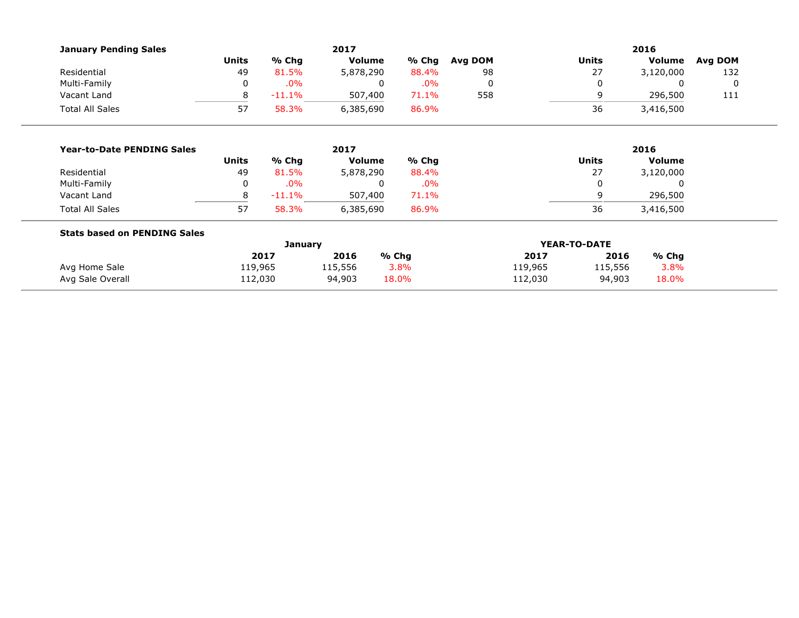| <b>January Pending Sales</b>        |              |          | 2017          |          | 2016    |         |              |               |         |  |  |
|-------------------------------------|--------------|----------|---------------|----------|---------|---------|--------------|---------------|---------|--|--|
|                                     | <b>Units</b> | % Chg    | <b>Volume</b> | % Chg    | Avg DOM |         | <b>Units</b> | Volume        | Avg DOM |  |  |
| Residential                         | 49           | 81.5%    | 5,878,290     | 88.4%    | 98      |         | 27           | 3,120,000     | 132     |  |  |
| Multi-Family                        | 0            | .0%      |               | .0%<br>0 | 0       |         |              | 0             | 0       |  |  |
| Vacant Land                         | 8            | $-11.1%$ | 507,400       | 71.1%    | 558     |         | 9<br>296,500 |               | 111     |  |  |
| <b>Total All Sales</b>              | 57           | 58.3%    | 6,385,690     | 86.9%    |         |         | 36           | 3,416,500     |         |  |  |
|                                     |              |          |               |          |         |         |              |               |         |  |  |
| <b>Year-to-Date PENDING Sales</b>   | 2017         |          |               |          | 2016    |         |              |               |         |  |  |
|                                     | <b>Units</b> | % Chg    | <b>Volume</b> | % Chg    |         |         | <b>Units</b> | <b>Volume</b> |         |  |  |
| Residential                         | 49           | 81.5%    | 5,878,290     | 88.4%    |         |         | 27           | 3,120,000     |         |  |  |
| Multi-Family                        | 0            | .0%      |               | .0%<br>0 |         |         |              | 0             |         |  |  |
| Vacant Land                         | 8            | $-11.1%$ | 507,400       | 71.1%    |         |         | 9            | 296,500       |         |  |  |
| <b>Total All Sales</b>              | 57           | 58.3%    | 6,385,690     | 86.9%    |         |         | 36           | 3,416,500     |         |  |  |
| <b>Stats based on PENDING Sales</b> |              |          |               |          |         |         |              |               |         |  |  |
|                                     | January      |          |               |          |         |         | YEAR-TO-DATE |               |         |  |  |
|                                     |              | 2017     | 2016          | % Chg    |         | 2017    | 2016         | $%$ Chg       |         |  |  |
| Avg Home Sale                       | 119,965      |          | 115,556       | 3.8%     |         | 119,965 | 115,556      | 3.8%          |         |  |  |
| Avg Sale Overall                    | 112,030      |          | 94,903        | 18.0%    |         | 112,030 | 94,903       | 18.0%         |         |  |  |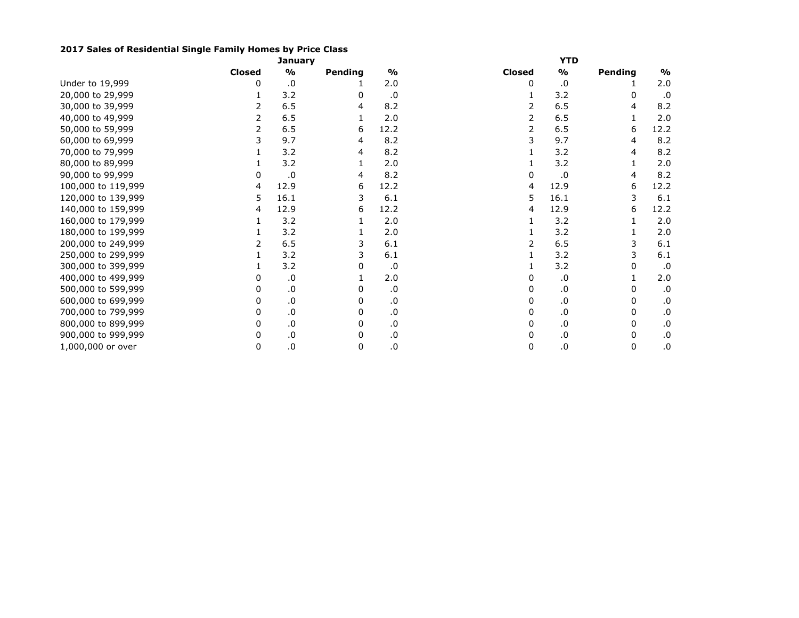## **2017 Sales of Residential Single Family Homes by Price Class**

|                    |               | January       |         |               |               | YTD           |         |               |
|--------------------|---------------|---------------|---------|---------------|---------------|---------------|---------|---------------|
|                    | <b>Closed</b> | $\frac{1}{2}$ | Pending | $\frac{9}{6}$ | <b>Closed</b> | $\frac{1}{2}$ | Pending | $\frac{1}{2}$ |
| Under to 19,999    | 0             | .0            |         | 2.0           | 0             | .0            |         | 2.0           |
| 20,000 to 29,999   |               | 3.2           | 0       | $.0 \,$       |               | 3.2           |         | .0            |
| 30,000 to 39,999   |               | 6.5           | 4       | 8.2           |               | 6.5           | 4       | 8.2           |
| 40,000 to 49,999   | 2             | 6.5           |         | 2.0           |               | 6.5           |         | 2.0           |
| 50,000 to 59,999   | 2             | 6.5           | 6       | 12.2          | 2             | 6.5           | 6       | 12.2          |
| 60,000 to 69,999   |               | 9.7           | 4       | 8.2           |               | 9.7           |         | 8.2           |
| 70,000 to 79,999   |               | 3.2           | 4       | 8.2           |               | 3.2           |         | 8.2           |
| 80,000 to 89,999   |               | 3.2           |         | 2.0           |               | 3.2           |         | 2.0           |
| 90,000 to 99,999   | 0             | .0            | 4       | 8.2           |               | .0            |         | 8.2           |
| 100,000 to 119,999 | 4             | 12.9          | 6       | 12.2          | 4             | 12.9          | 6       | 12.2          |
| 120,000 to 139,999 | 5             | 16.1          | 3       | 6.1           | 5             | 16.1          |         | 6.1           |
| 140,000 to 159,999 | 4             | 12.9          | 6       | 12.2          | 4             | 12.9          | 6       | 12.2          |
| 160,000 to 179,999 |               | 3.2           |         | 2.0           |               | 3.2           |         | 2.0           |
| 180,000 to 199,999 |               | 3.2           |         | 2.0           |               | 3.2           |         | 2.0           |
| 200,000 to 249,999 | 2             | 6.5           | 3       | 6.1           |               | 6.5           | 3       | 6.1           |
| 250,000 to 299,999 |               | 3.2           | 3       | 6.1           |               | 3.2           | 3       | $6.1$         |
| 300,000 to 399,999 |               | 3.2           | 0       | .0            |               | 3.2           | 0       | .0            |
| 400,000 to 499,999 | 0             | .0            |         | 2.0           |               | .0            |         | 2.0           |
| 500,000 to 599,999 |               | .0            |         | .0            |               | .0            | 0       | .0            |
| 600,000 to 699,999 | 0             | .0            | 0       | .0            |               | .0            | 0       | .0            |
| 700,000 to 799,999 | 0             | .0            | 0       | .0            | 0             | .0            | 0       | .0            |
| 800,000 to 899,999 | 0             | $\cdot$ 0     | 0       | .0            | 0             | .0            | 0       | .0            |
| 900,000 to 999,999 | 0             | .0            | 0       | .0            | 0             | .0            | 0       | .0            |
| 1,000,000 or over  | 0             | $\cdot 0$     | 0       | .0            | 0             | .0            | 0       | .0            |